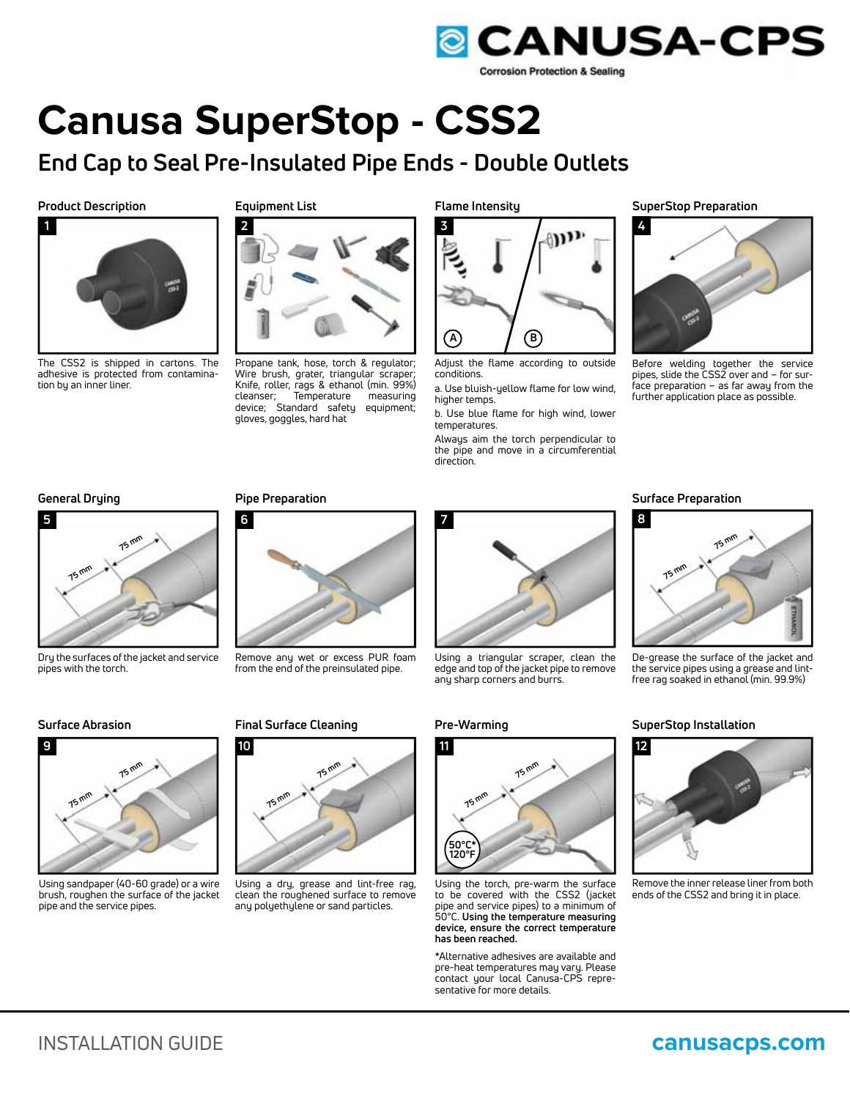

# **Canusa SuperStop - CSS2**

## **End Cap to Seal Pre-Insulated Pipe Ends - Double Outlets**

**Product Description Equipment List**



The CSS2 is shipped in cartons. The adhesive is protected from contamination by an inner liner.



Propane tank, hose, torch & regulator; Wire brush, grater, triangular scraper; Knife, roller, rags & ethanol (min. 99%) cleanser; Temperature measuring device; Standard safety equipment; gloves, goggles, hard hat



Adjust the flame according to outside conditions.

a. Use bluish-yellow flame for low wind, higher temps.

b. Use blue flame for high wind, lower temperatures.

Always aim the torch perpendicular to the pipe and move in a circumferential direction.

**Flame Intensity SuperStop Preparation**



Before welding together the service pipes, slide the CSS2 over and – for surface preparation – as far away from the



Dry the surfaces of the jacket and service pipes with the torch.



Using sandpaper (40-60 grade) or a wire brush, roughen the surface of the jacket pipe and the service pipes.



Remove any wet or excess PUR foam from the end of the preinsulated pipe.



Using a dry, grease and lint-free rag, clean the roughened surface to remove any polyethylene or sand particles.



Using a triangular scraper, clean the edge and top of the jacket pipe to remove any sharp corners and burrs.



Using the torch, pre-warm the surface to be covered with the CSS2 (jacket pipe and service pipes) to a minimum of 50°C. **Using the temperature measuring device, ensure the correct temperature has been reached.**

\*Alternative adhesives are available and pre-heat temperatures may vary. Please contact your local Canusa-CPS representative for more details.

### **General Drying Pipe Preparation Surface Preparation**



De-grease the surface of the jacket and the service pipes using a grease and lintfree rag soaked in ethanol (min. 99.9%)

## **Surface Abrasion Final Surface Cleaning Pre-Warming SuperStop Installation**



Remove the inner release liner from both ends of the CSS2 and bring it in place.



## INSTALLATION GUIDE **canusacps.com**